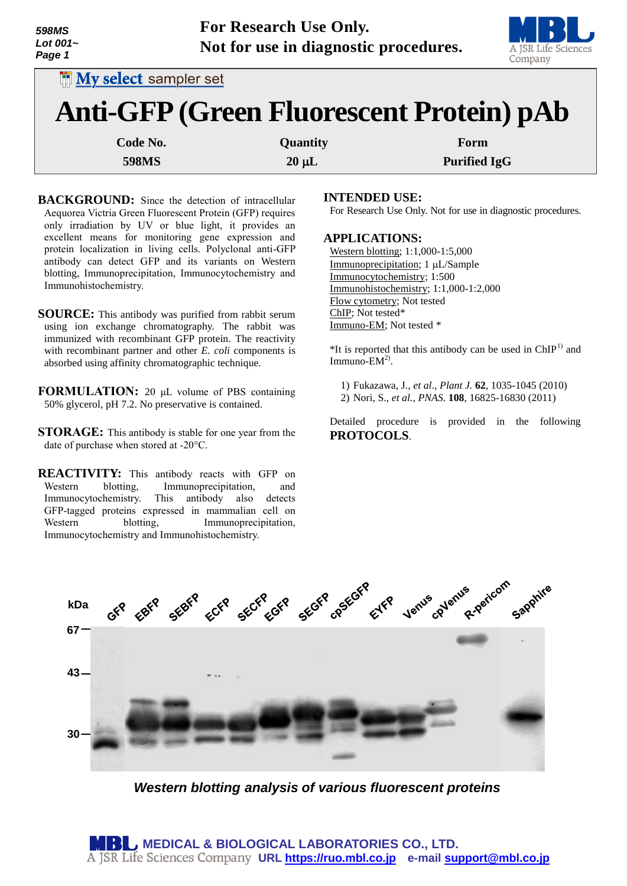

| <b>My select sampler set</b>                    |            |                     |
|-------------------------------------------------|------------|---------------------|
| <b>Anti-GFP (Green Fluorescent Protein) pAb</b> |            |                     |
| Code No.                                        | Quantity   | Form                |
| <b>598MS</b>                                    | $20 \mu L$ | <b>Purified IgG</b> |

- **BACKGROUND:** Since the detection of intracellular Aequorea Victria Green Fluorescent Protein (GFP) requires only irradiation by UV or blue light, it provides an excellent means for monitoring gene expression and protein localization in living cells. Polyclonal anti-GFP antibody can detect GFP and its variants on Western blotting, Immunoprecipitation, Immunocytochemistry and Immunohistochemistry.
- **SOURCE:** This antibody was purified from rabbit serum using ion exchange chromatography. The rabbit was immunized with recombinant GFP protein. The reactivity with recombinant partner and other *E. coli* components is absorbed using affinity chromatographic technique.
- **FORMULATION:** 20 μL volume of PBS containing 50% glycerol, pH 7.2. No preservative is contained.
- **STORAGE:** This antibody is stable for one year from the date of purchase when stored at -20°C.
- **REACTIVITY:** This antibody reacts with GFP on Western blotting, Immunoprecipitation, and Immunocytochemistry. This antibody also detects GFP-tagged proteins expressed in mammalian cell on Western blotting, Immunoprecipitation, Immunocytochemistry and Immunohistochemistry.

# **INTENDED USE:**

For Research Use Only. Not for use in diagnostic procedures.

# **APPLICATIONS:**

Western blotting; 1:1,000-1:5,000 Immunoprecipitation; 1 µL/Sample Immunocytochemistry; 1:500 Immunohistochemistry; 1:1,000-1:2,000 Flow cytometry; Not tested ChIP; Not tested\* Immuno-EM; Not tested \*

 $*$ It is reported that this antibody can be used in  $ChIP<sup>1</sup>$  and  $Immuno$ -EM<sup>2)</sup>.

1) Fukazawa, J., *et al*., *Plant J.* **62**, 1035-1045 (2010) 2) Nori, S., *et al.*, *PNAS.* **108**, 16825-16830 (2011)

Detailed procedure is provided in the following **PROTOCOLS**.



*Western blotting analysis of various fluorescent proteins*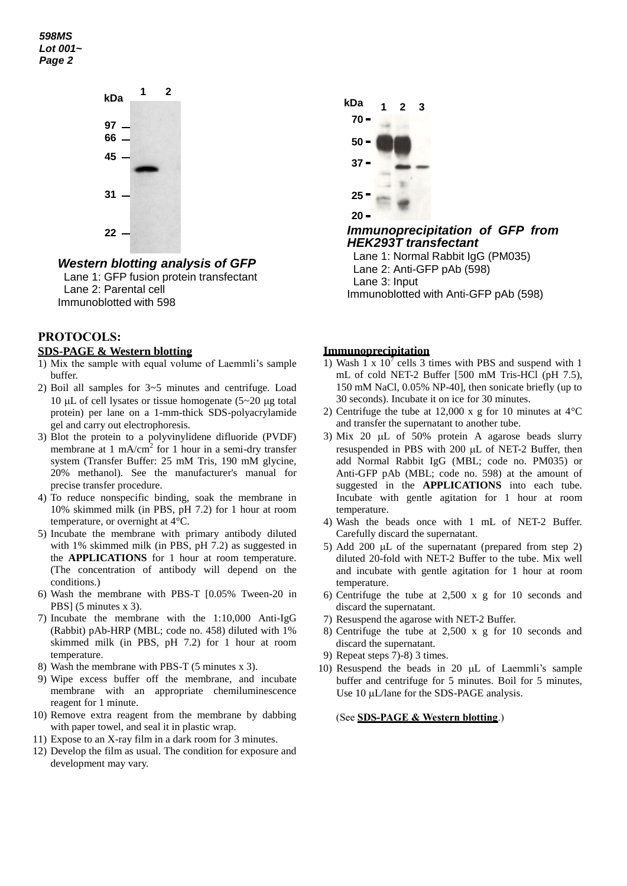*598MS Lot 001~ Page 2*



*Western blotting analysis of GFP* Lane 1: GFP fusion protein transfectant Lane 2: Parental cell Immunoblotted with 598

# **PROTOCOLS:**

# **SDS-PAGE & Western blotting**

- 1) Mix the sample with equal volume of Laemmli's sample buffer.
- 2) Boil all samples for 3~5 minutes and centrifuge. Load 10  $\mu$ L of cell lysates or tissue homogenate (5~20  $\mu$ g total protein) per lane on a 1-mm-thick SDS-polyacrylamide gel and carry out electrophoresis.
- 3) Blot the protein to a polyvinylidene difluoride (PVDF) membrane at 1 mA/cm<sup>2</sup> for 1 hour in a semi-dry transfer system (Transfer Buffer: 25 mM Tris, 190 mM glycine, 20% methanol). See the manufacturer's manual for precise transfer procedure.
- 4) To reduce nonspecific binding, soak the membrane in 10% skimmed milk (in PBS, pH 7.2) for 1 hour at room temperature, or overnight at 4°C.
- 5) Incubate the membrane with primary antibody diluted with 1% skimmed milk (in PBS, pH 7.2) as suggested in the **APPLICATIONS** for 1 hour at room temperature. (The concentration of antibody will depend on the conditions.)
- 6) Wash the membrane with PBS-T [0.05% Tween-20 in PBS] (5 minutes x 3).
- 7) Incubate the membrane with the 1:10,000 Anti-IgG (Rabbit) pAb-HRP (MBL; code no. 458) diluted with 1% skimmed milk (in PBS, pH 7.2) for 1 hour at room temperature.
- 8) Wash the membrane with PBS-T (5 minutes x 3).
- 9) Wipe excess buffer off the membrane, and incubate membrane with an appropriate chemiluminescence reagent for 1 minute.
- 10) Remove extra reagent from the membrane by dabbing with paper towel, and seal it in plastic wrap.
- 11) Expose to an X-ray film in a dark room for 3 minutes.
- 12) Develop the film as usual. The condition for exposure and development may vary.



*Immunoprecipitation of GFP from HEK293T transfectant*

Lane 1: Normal Rabbit IgG (PM035) Lane 2: Anti-GFP pAb (598) Lane 3: Input Immunoblotted with Anti-GFP pAb (598)

#### **Immunoprecipitation**

- 1) Wash 1 x  $10^7$  cells 3 times with PBS and suspend with 1 mL of cold NET-2 Buffer [500 mM Tris-HCl (pH 7.5), 150 mM NaCl, 0.05% NP-40], then sonicate briefly (up to 30 seconds). Incubate it on ice for 30 minutes.
- 2) Centrifuge the tube at 12,000 x g for 10 minutes at 4°C and transfer the supernatant to another tube.
- 3) Mix 20  $\mu$ L of 50% protein A agarose beads slurry resuspended in PBS with 200 µL of NET-2 Buffer, then add Normal Rabbit IgG (MBL; code no. PM035) or Anti-GFP pAb (MBL; code no. 598) at the amount of suggested in the **APPLICATIONS** into each tube. Incubate with gentle agitation for 1 hour at room temperature.
- 4) Wash the beads once with 1 mL of NET-2 Buffer. Carefully discard the supernatant.
- 5) Add 200  $\mu$ L of the supernatant (prepared from step 2) diluted 20-fold with NET-2 Buffer to the tube. Mix well and incubate with gentle agitation for 1 hour at room temperature.
- 6) Centrifuge the tube at 2,500 x g for 10 seconds and discard the supernatant.
- 7) Resuspend the agarose with NET-2 Buffer.
- 8) Centrifuge the tube at 2,500 x g for 10 seconds and discard the supernatant.
- 9) Repeat steps 7)-8) 3 times.
- 10) Resuspend the beads in 20  $\mu$ L of Laemmli's sample buffer and centrifuge for 5 minutes. Boil for 5 minutes, Use  $10 \mu L/l$ ane for the SDS-PAGE analysis.

(See **SDS-PAGE & Western blotting**.)